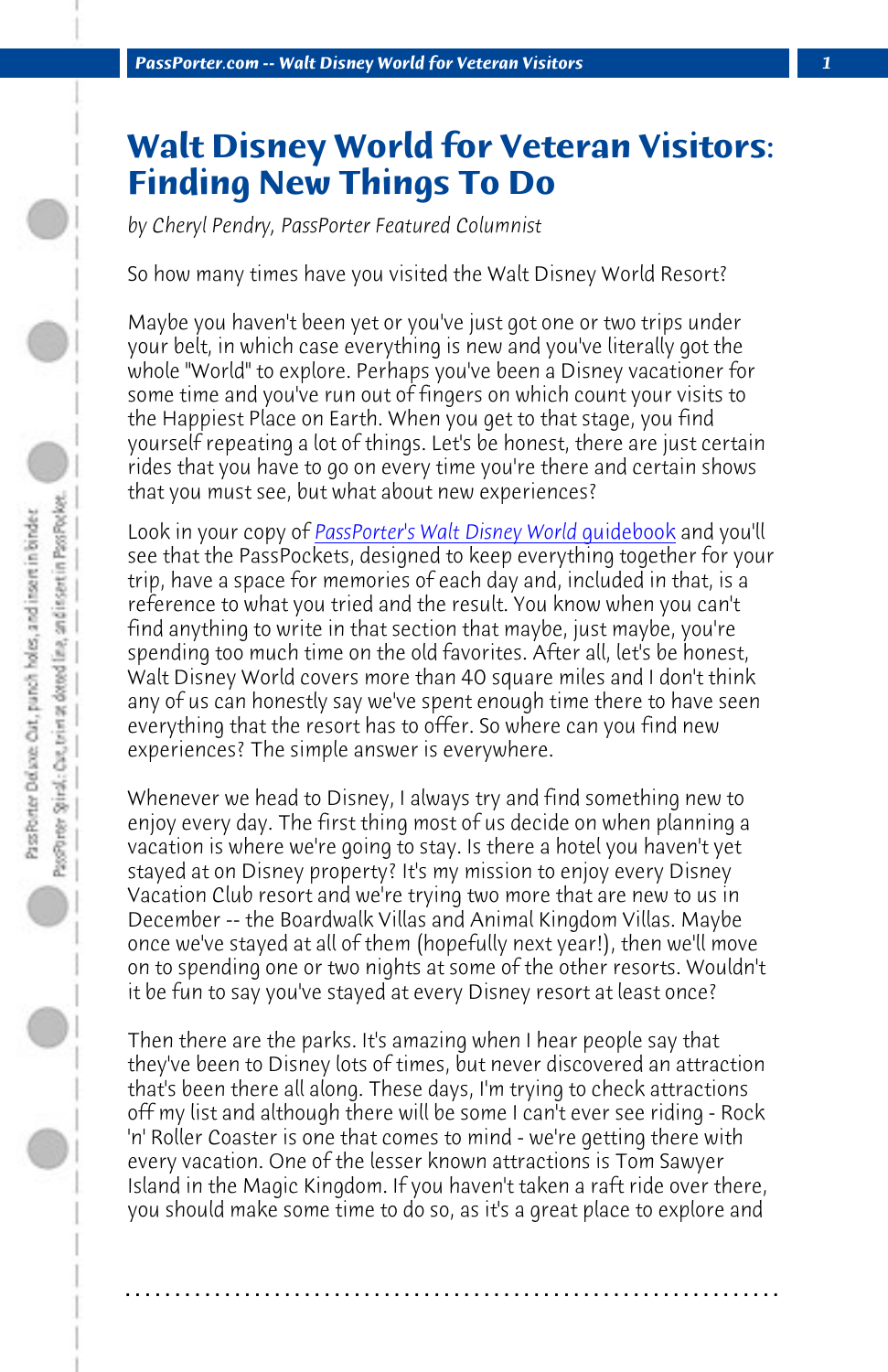*PassPorter.com -- Walt Disney World for Veteran Visitors 1*

## **Walt Disne[y World for Veteran Vis](http://www.passporter.com/wdw/guidebook.asp)itors: Finding New Things To Do**

*by Cheryl Pendry, PassPorter Featured Columnist*

So how many times have you visited the Walt Disney World Resort?

Maybe you haven't been yet or you've just got one or two trips under your belt, in which case everything is new and you've literally got the whole "World" to explore. Perhaps you've been a Disney vacationer for some time and you've run out of fingers on which count your visits to the Happiest Place on Earth. When you get to that stage, you find yourself repeating a lot of things. Let's be honest, there are just certain rides that you have to go on every time you're there and certain shows that you must see, but what about new experiences?

Look in your copy of *PassPorter's Walt Disney World quidebook* and you'll see that the PassPockets, designed to keep everything together for your trip, have a space for memories of each day and, included in that, is a reference to what you tried and the result. You know when you can't find anything to write in that section that maybe, just maybe, you're spending too much time on the old favorites. After all, let's be honest, Walt Disney World covers more than 40 square miles and I don't think any of us can honestly say we've spent enough time there to have seen everything that the resort has to offer. So where can you find new experiences? The simple answer is everywhere.

Whenever we head to Disney, I always try and find something new to enjoy every day. The first thing most of us decide on when planning a vacation is where we're going to stay. Is there a hotel you haven't yet stayed at on Disney property? It's my mission to enjoy every Disney Vacation Club resort and we're trying two more that are new to us in December -- the Boardwalk Villas and Animal Kingdom Villas. Maybe once we've stayed at all of them (hopefully next year!), then we'll move on to spending one or two nights at some of the other resorts. Wouldn't it be fun to say you've stayed at every Disney resort at least once?

Then there are the parks. It's amazing when I hear people say that they've been to Disney lots of times, but never discovered an attraction that's been there all along. These days, I'm trying to check attractions off my list and although there will be some I can't ever see riding - Rock 'n' Roller Coaster is one that comes to mind - we're getting there with every vacation. One of the lesser known attractions is Tom Sawyer Island in the Magic Kingdom. If you haven't taken a raft ride over there, you should make some time to do so, as it's a great place to explore and

**. . . . . . . . . . . . . . . . . . . . . . . . . . . . . . . . . . . . . . . . . . . . . . . . . . . . . . . . . . . . . . . . . .**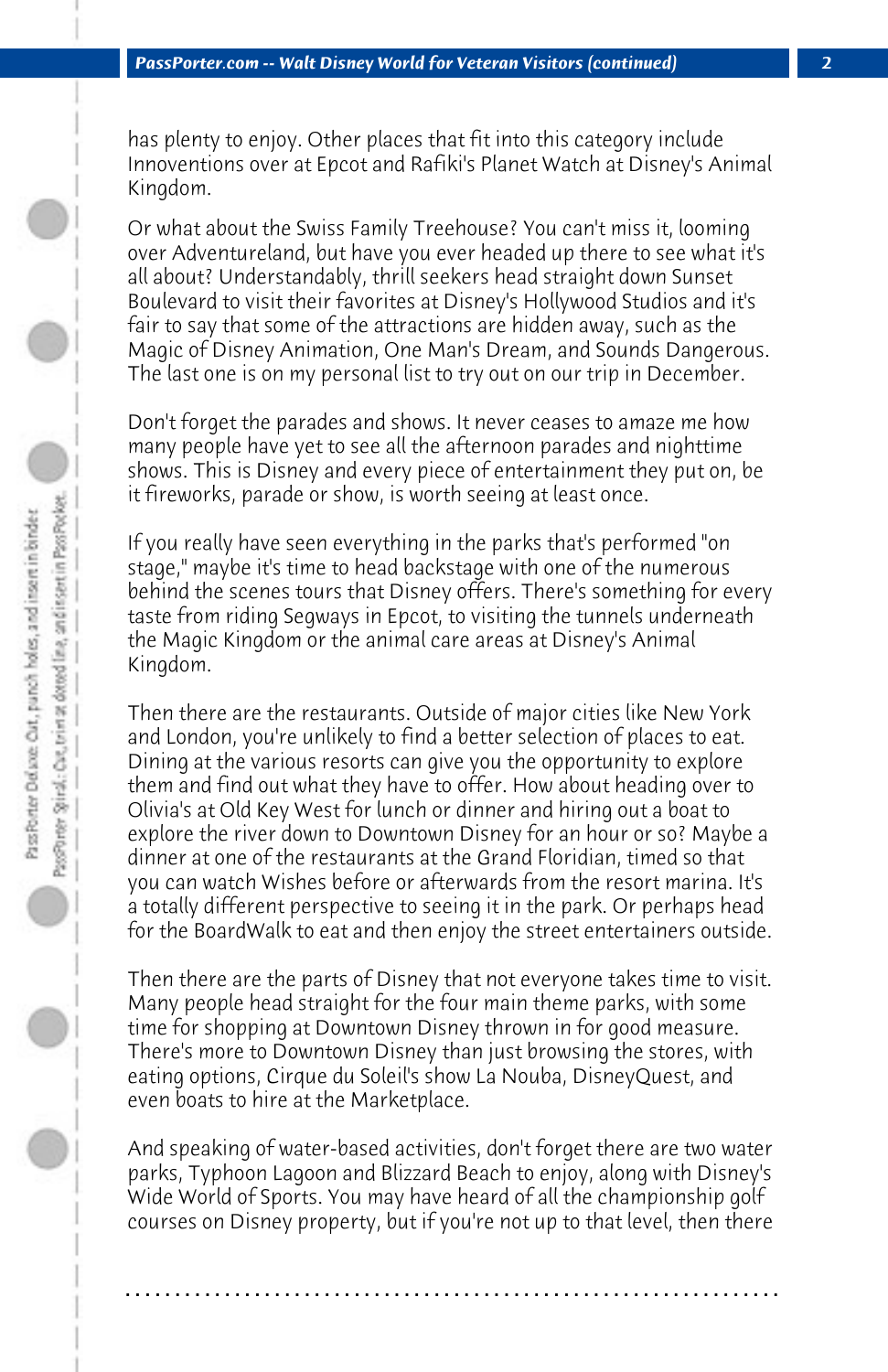has plenty to enjoy. Other places that fit into this category include Innoventions over at Epcot and Rafiki's Planet Watch at Disney's Animal Kingdom.

Or what about the Swiss Family Treehouse? You can't miss it, looming over Adventureland, but have you ever headed up there to see what it's all about? Understandably, thrill seekers head straight down Sunset Boulevard to visit their favorites at Disney's Hollywood Studios and it's fair to say that some of the attractions are hidden away, such as the Magic of Disney Animation, One Man's Dream, and Sounds Dangerous. The last one is on my personal list to try out on our trip in December.

Don't forget the parades and shows. It never ceases to amaze me how many people have yet to see all the afternoon parades and nighttime shows. This is Disney and every piece of entertainment they put on, be it fireworks, parade or show, is worth seeing at least once.

If you really have seen everything in the parks that's performed "on stage," maybe it's time to head backstage with one of the numerous behind the scenes tours that Disney offers. There's something for every taste from riding Segways in Epcot, to visiting the tunnels underneath the Magic Kingdom or the animal care areas at Disney's Animal Kingdom.

Then there are the restaurants. Outside of major cities like New York and London, you're unlikely to find a better selection of places to eat. Dining at the various resorts can give you the opportunity to explore them and find out what they have to offer. How about heading over to Olivia's at Old Key West for lunch or dinner and hiring out a boat to explore the river down to Downtown Disney for an hour or so? Maybe a dinner at one of the restaurants at the Grand Floridian, timed so that you can watch Wishes before or afterwards from the resort marina. It's a totally different perspective to seeing it in the park. Or perhaps head for the BoardWalk to eat and then enjoy the street entertainers outside.

Then there are the parts of Disney that not everyone takes time to visit. Many people head straight for the four main theme parks, with some time for shopping at Downtown Disney thrown in for good measure. There's more to Downtown Disney than just browsing the stores, with eating options, Cirque du Soleil's show La Nouba, DisneyQuest, and even boats to hire at the Marketplace.

And speaking of water-based activities, don't forget there are two water parks, Typhoon Lagoon and Blizzard Beach to enjoy, along with Disney's Wide World of Sports. You may have heard of all the championship golf courses on Disney property, but if you're not up to that level, then there

**. . . . . . . . . . . . . . . . . . . . . . . . . . . . . . . . . . . . . . . . . . . . . . . . . . . . . . . . . . . . . . . . . .**